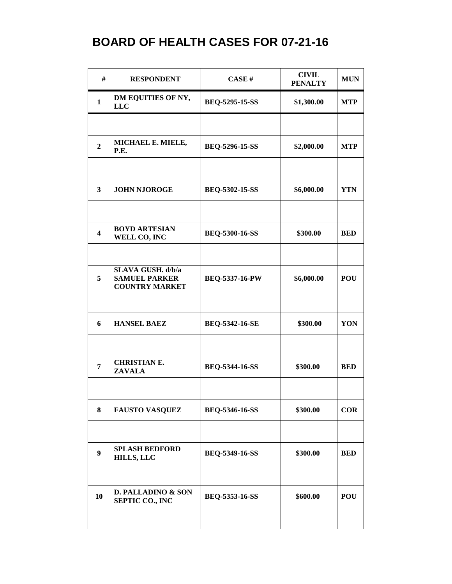| #                       | <b>RESPONDENT</b>                                                  | CASE#                 | <b>CIVIL</b><br><b>PENALTY</b> | <b>MUN</b> |
|-------------------------|--------------------------------------------------------------------|-----------------------|--------------------------------|------------|
| $\mathbf{1}$            | DM EQUITIES OF NY,<br><b>LLC</b>                                   | BEQ-5295-15-SS        | \$1,300.00                     | <b>MTP</b> |
|                         |                                                                    |                       |                                |            |
| $\overline{2}$          | MICHAEL E. MIELE,<br>P.E.                                          | BEQ-5296-15-SS        | \$2,000.00                     | <b>MTP</b> |
|                         |                                                                    |                       |                                |            |
| $\overline{\mathbf{3}}$ | <b>JOHN NJOROGE</b>                                                | BEQ-5302-15-SS        | \$6,000.00                     | <b>YTN</b> |
| $\overline{\mathbf{4}}$ | <b>BOYD ARTESIAN</b>                                               | <b>BEQ-5300-16-SS</b> | \$300.00                       | <b>BED</b> |
|                         | WELL CO, INC                                                       |                       |                                |            |
| 5                       | SLAVA GUSH. d/b/a<br><b>SAMUEL PARKER</b><br><b>COUNTRY MARKET</b> | <b>BEQ-5337-16-PW</b> | \$6,000.00                     | <b>POU</b> |
| 6                       | <b>HANSEL BAEZ</b>                                                 | BEQ-5342-16-SE        | \$300.00                       | YON        |
| $\overline{7}$          | <b>CHRISTIAN E.</b><br><b>ZAVALA</b>                               | <b>BEQ-5344-16-SS</b> | \$300.00                       | <b>BED</b> |
| 8                       | <b>FAUSTO VASQUEZ</b>                                              | <b>BEQ-5346-16-SS</b> | \$300.00                       | <b>COR</b> |
| $\boldsymbol{9}$        | <b>SPLASH BEDFORD</b><br><b>HILLS, LLC</b>                         | BEQ-5349-16-SS        | \$300.00                       | <b>BED</b> |
| 10                      | D. PALLADINO & SON<br><b>SEPTIC CO., INC</b>                       | BEQ-5353-16-SS        | \$600.00                       | <b>POU</b> |
|                         |                                                                    |                       |                                |            |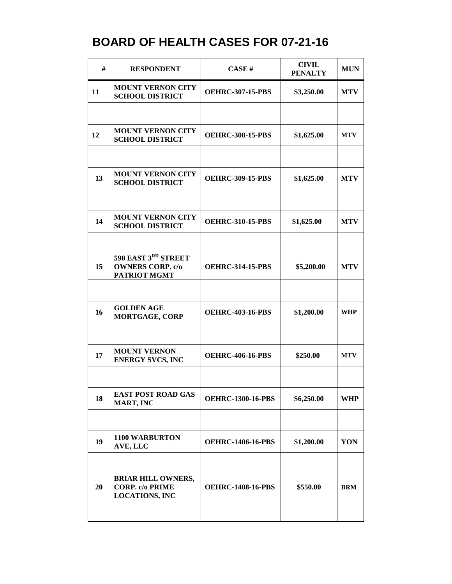| #  | <b>RESPONDENT</b>                                                            | CASE#                    | <b>CIVIL</b><br><b>PENALTY</b> | <b>MUN</b> |
|----|------------------------------------------------------------------------------|--------------------------|--------------------------------|------------|
| 11 | <b>MOUNT VERNON CITY</b><br><b>SCHOOL DISTRICT</b>                           | <b>OEHRC-307-15-PBS</b>  | \$3,250.00                     | <b>MTV</b> |
|    |                                                                              |                          |                                |            |
| 12 | <b>MOUNT VERNON CITY</b><br><b>SCHOOL DISTRICT</b>                           | <b>OEHRC-308-15-PBS</b>  | \$1,625.00                     | <b>MTV</b> |
|    |                                                                              |                          |                                |            |
| 13 | <b>MOUNT VERNON CITY</b><br><b>SCHOOL DISTRICT</b>                           | <b>OEHRC-309-15-PBS</b>  | \$1,625.00                     | <b>MTV</b> |
|    |                                                                              |                          |                                |            |
| 14 | <b>MOUNT VERNON CITY</b><br><b>SCHOOL DISTRICT</b>                           | <b>OEHRC-310-15-PBS</b>  | \$1,625.00                     | <b>MTV</b> |
|    |                                                                              |                          |                                |            |
| 15 | 590 EAST 3RD STREET<br><b>OWNERS CORP. c/o</b><br>PATRIOT MGMT               | <b>OEHRC-314-15-PBS</b>  | \$5,200.00                     | <b>MTV</b> |
|    |                                                                              |                          |                                |            |
| 16 | <b>GOLDEN AGE</b><br><b>MORTGAGE, CORP</b>                                   | <b>OEHRC-403-16-PBS</b>  | \$1,200.00                     | <b>WHP</b> |
|    |                                                                              |                          |                                |            |
| 17 | <b>MOUNT VERNON</b><br><b>ENERGY SVCS, INC</b>                               | <b>OEHRC-406-16-PBS</b>  | \$250.00                       | <b>MTV</b> |
|    |                                                                              |                          |                                |            |
| 18 | <b>EAST POST ROAD GAS</b><br>MART, INC                                       | <b>OEHRC-1300-16-PBS</b> | \$6,250.00                     | <b>WHP</b> |
|    |                                                                              |                          |                                |            |
| 19 | <b>1100 WARBURTON</b><br>AVE, LLC                                            | <b>OEHRC-1406-16-PBS</b> | \$1,200.00                     | YON        |
|    |                                                                              |                          |                                |            |
| 20 | <b>BRIAR HILL OWNERS,</b><br><b>CORP.</b> c/o PRIME<br><b>LOCATIONS, INC</b> | <b>OEHRC-1408-16-PBS</b> | \$550.00                       | <b>BRM</b> |
|    |                                                                              |                          |                                |            |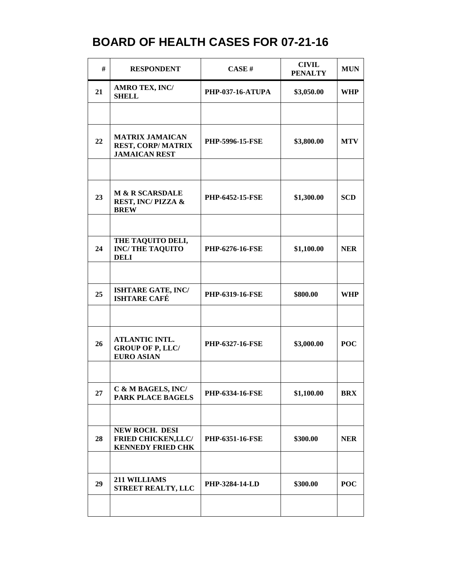| #  | <b>RESPONDENT</b>                                                          | CASE#                   | <b>CIVIL</b><br><b>PENALTY</b> | <b>MUN</b> |
|----|----------------------------------------------------------------------------|-------------------------|--------------------------------|------------|
| 21 | <b>AMRO TEX, INC/</b><br><b>SHELL</b>                                      | <b>PHP-037-16-ATUPA</b> | \$3,050.00                     | <b>WHP</b> |
|    |                                                                            |                         |                                |            |
| 22 | <b>MATRIX JAMAICAN</b><br><b>REST, CORP/MATRIX</b><br><b>JAMAICAN REST</b> | <b>PHP-5996-15-FSE</b>  | \$3,800.00                     | <b>MTV</b> |
|    |                                                                            |                         |                                |            |
| 23 | <b>M &amp; R SCARSDALE</b><br>REST, INC/PIZZA &<br><b>BREW</b>             | <b>PHP-6452-15-FSE</b>  | \$1,300.00                     | <b>SCD</b> |
|    |                                                                            |                         |                                |            |
| 24 | THE TAQUITO DELI,<br><b>INC/THE TAQUITO</b><br><b>DELI</b>                 | PHP-6276-16-FSE         | \$1,100.00                     | <b>NER</b> |
|    |                                                                            |                         |                                |            |
| 25 | ISHTARE GATE, INC/<br><b>ISHTARE CAFÉ</b>                                  | <b>PHP-6319-16-FSE</b>  | \$800.00                       | <b>WHP</b> |
|    |                                                                            |                         |                                |            |
| 26 | <b>ATLANTIC INTL.</b><br><b>GROUP OF P, LLC/</b><br><b>EURO ASIAN</b>      | PHP-6327-16-FSE         | \$3,000.00                     | <b>POC</b> |
|    |                                                                            |                         |                                |            |
| 27 | C & M BAGELS, INC/<br>PARK PLACE BAGELS                                    | PHP-6334-16-FSE         | \$1,100.00                     | <b>BRX</b> |
|    |                                                                            |                         |                                |            |
| 28 | NEW ROCH. DESI<br><b>FRIED CHICKEN, LLC/</b><br><b>KENNEDY FRIED CHK</b>   | <b>PHP-6351-16-FSE</b>  | \$300.00                       | <b>NER</b> |
|    |                                                                            |                         |                                |            |
| 29 | 211 WILLIAMS<br><b>STREET REALTY, LLC</b>                                  | <b>PHP-3284-14-LD</b>   | \$300.00                       | <b>POC</b> |
|    |                                                                            |                         |                                |            |